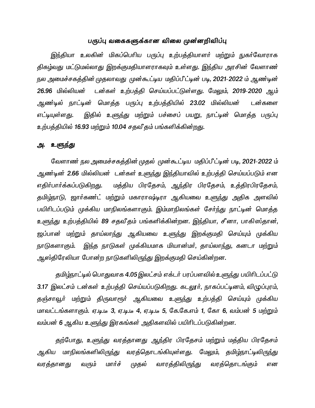## பருப்பு வகைகளுக்கான விலை முன்னறிவிப்பு

இந்தியா உலகின் மிகப்பெரிய பருப்பு உற்பத்தியாளர் மற்றும் நுகர்வோராக திகழ்வது மட்டுமல்லாது இறக்குமதியாளராகவும் உள்ளது. இந்திய அரசின் வேளாண் நல அமைச்சகத்தின் முதலாவது முன்கூட்டிய மதிப்பீட்டின் படி, 2021-2022 ம் ஆண்டின் 26.96 மில்லியன் டன்கள் உற்பத்தி செய்யப்பட்டுள்ளது. மேலும், 2019-2020 ஆம் ஆண்டில் நாட்டின் மொத்த பருப்பு உற்பத்தியில் 23.02 மில்லியன் டன்களை எட்டியுள்ளது. இதில் உளுந்து மற்றும் பச்சைப் பயறு, நாட்டின் மொத்த பருப்பு உற்பத்தியில் 16.93 மற்றும் 10.04 சதவீதம் பங்களிக்கின்றது.

# அ. உளுந்து

லேளாண் நல அமைச்சகத்தின் முதல் முன்கூட்டிய மதிப்பீட்டின் படி, 2021-2022 ம் ஆண்டின் 2.66 மில்லியன் டன்கள் உளுந்து இந்தியாவில் உற்பத்தி செய்யப்படும் என எதிர்பார்க்கப்படுகிறது. மத்திய பிரதேசம், ஆந்திர பிரதேசம், உத்திரபிரதேசம், தமிழ்நாடு, ஜார்கண்ட் மற்றும் மகாராஷ்டிரா ஆகியவை உள<u>ுந்</u>து அதிக அளவில் பயிரிடப்படும் முக்கிய மாநிலங்களாகும். இம்மாநிலங்கள் சேர்ந்து நாட்டின் மொத்த உளுந்து உற்பத்தியில் 89 சதவீதம் பங்களிக்கின்றன. இந்தியா, சீனா, பாகிஸ்தான், ஜப்பான் மற்றும் தாய்லாந்து ஆகியவை உள<u>ுந்</u>து இறக்குமதி செய்யும் முக்கிய நாடுகளாகும். இந்த நாடுகள் முக்கியமாக மியான்மா், தாய்லாந்து, கனடா மற்றும் ஆஸ்திரேலியா போன்ற நாடுகளிலிருந்து இறக்குமதி செய்கின்றன.

தமிழ்நாட்டில் பொதுவாக 4.05 இலட்சம் எக்டர் பரப்பளவில் உளுந்து பயிரிடப்பட்டு 3.17 இலட்சம் டன்கள் உற்பத்தி செய்யப்படுகிறது. கடலூர், நாகப்பட்டினம், விழுப்புரம், தஞ்சாவூர் மற்றும் திருவாரூர் ஆகியவை உளுந்து உற்பத்தி செய்யும் முக்கிய மாவட்டங்களாகும். ஏ.டி.டீ 3, ஏ.டி.டீ 4, ஏ.டி.டீ 5, கே.கே.எம் 1, கோ 6, வம்பன் 5 மற்றும் வம்பன் 6 ஆகிய உளுந்து இரகங்கள் அதிகளவில் பயிரிடப்படுகின்றன.

தற்போது, உளுந்து வரத்தானது ஆந்திர பிரதேசம் மற்றும் மத்திய பிரதேசம் ஆகிய மாநிலங்களிலிருந்து வரத்தொடங்கியுள்ளது. மேலும், தமிழ்நாட்டிலிருந்து வரத்தானது வரும் மார்ச் முதல் வாரத்திலிருந்து வரத்தொடங்கும் என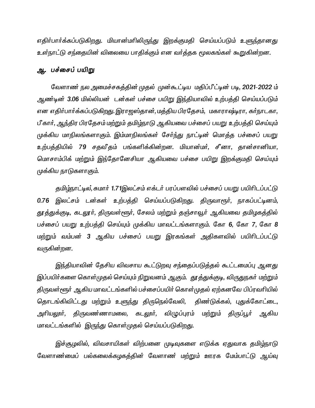எதிர்பார்க்கப்படுகிறது. மியான்மரிலிருந்து இறக்குமதி செய்யப்படும் உளுந்தானது உள்நாட்டு சந்தையின் விலையை பாதிக்கும் என வர்த்தக மூலகங்கள் கூறுகின்றன.

# ஆ. பச்சைப் பயிறு

லேளாண் நல அமைச்சகத்தின் முதல் முன்கூட்டிய மதிப்பீட்டின் படி, 2021-2022 ம் அண்டின் 3.06 மில்லியன் டன்கள் பச்சை பயிறு இந்தியாவில் உற்பத்தி செய்யப்படும் என எதிர்பார்க்கப்படுகிறது. இராஜஸ்தான், மத்திய பிரதேசம், மகாராஷ்டிரா, கர்நாடகா, பீ கார், ஆந்திர பிரதேசம் மற்றும் தமிழ்நாடு ஆகியவை பச்சைப் பயறு உற்பத்தி செய்யும் முக்கிய மாநிலங்களாகும். இம்மாநிலங்கள் சேர்ந்து நாட்டின் மொத்த பச்சைப் பயறு உற்பத்தியில் 79 சதவீதம் பங்களிக்கின்றன. மியான்மர், சீனா, தான்சானியா, மொசாம்பிக் மற்றும் இந்தோனேசியா ஆகியவை பச்சை பயிறு இறக்குமதி செய்யும் முக்கிய நாடுகளாகும்.

தமிழ்நாட்டில், சுமார் 1.71இலட்சம் எக்டர் பரப்பளவில் பச்சைப் பயறு பயிரிடப்பட்டு 0.76 இலட்சம் டன்கள் உற்பத்தி செய்யப்படுகிறது. திருவாரூர், நாகப்பட்டினம், தூத்துக்குடி, கடலூர், திருவள்ளூர், சேலம் மற்றும் தஞ்சாவூர் ஆகியவை தமிழகத்தில் பச்சைப் பயறு உற்பத்தி செய்யும் முக்கிய மாவட்டங்களாகும். கோ 6, கோ 7, கோ 8 மற்றும் வம்பன் 3 ஆகிய பச்சைப் பயறு இரகங்கள் அதிகளவில் பயிரிடப்பட்டு வருகின்றன.

இந்தியாவின் தேசிய விவசாய கூட்டுறவு சந்தைப்படுத்தல் கூட்டமைப்பு ஆனது இப்பயிர்களை கொள்முதல் செய்யும் நிறுவனம் ஆகும். தூத்துக்குடி, விருதுநகர் மற்றும் திருவள்ளூர் ஆகிய மாவட்டங்களில் பச்சைப்பயிர் கொள்முதல் ஏற்கனவே பிப்ரவரியில் தொடங்கிவிட்டது மற்றும் உளுந்து திருநெல்வேலி, திண்டுக்கல், புதுக்கோட்டை, அரியலூர், திருவண்ணாமலை, கடலூர், விழுப்புரம் மற்றும் திருப்பூர் ஆகிய மாவட்டங்களில் இருந்து கொள்முதல் செய்யப்படுகிறது.

இச்சூழலில், விவசாயிகள் விற்பனை முடிவுகளை எடுக்க ஏதுவாக தமிழ்நாடு வேளாண்மைப் பல்கலைக்கழகத்தின் வேளாண மற்றும் ஊரக மேம்பாட்டு ஆய்வு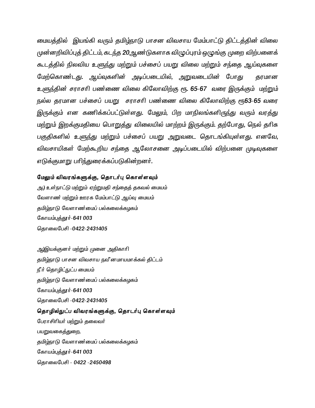மையத்தில் இயங்கி வரும் தமிழ்நாடு பாசன விவசாய மேம்பாட்டு திட்டத்தின் விலை முன்னறிவிப்புத் திட்டம், கடந்த 20ஆண்டுகளாக விழுப்புரம் ஒழுங்கு முறை விற்பனைக் கூடத்தில் நிலவிய உளுந்து மற்றும் பச்சைப் பயறு விலை மற்றும் சந்தை ஆய்வுகளை மேற்கொண்டது. ஆய்வுகளின் அடிப்படையில், அறுவடையின் போது தரமான உளுந்தின் சராசரி பண்ணை விலை கிலோவிற்கு ரூ. 65-67 வரை இருக்கும் மற்றும் நல்ல தரமான பச்சைப் பயறு சராசரி பண்ணை விலை கிலோவிற்கு ரூ63-65 வரை இருக்கும் என கணிக்கப்பட்டுள்ளது. மேலும், பிற மாநிலங்களிருந்து வரும் வரத்து மற்றும் இறக்குமதியை பொறுத்து விலையில் மாற்றம் இருக்கும். தற்போது, நெல் தரிசு பகுதிகளில் உளுந்து மற்றும் பச்சைப் பயறு அறுவடை தொடங்கியுள்ளது. எனவே, விவசாயிகள் மேற்கூறிய சந்தை ஆலோசனை அடிப்படையில் விற்பனை முடிவுகளை எடுக்குமாறு பரிந்துரைக்கப்படுகின்றனர்.

#### மேலும் விவரங்களுக்கு, தொடர்பு கொள்ளவும்

அ.) உள்நாட்டு மற்றும் ஏற்றுமதி சந்தைத் தகவல் மையம் வேளாண் மற்றும் ஊரக மேம்பாட்டு ஆய்வு மையம் தமிழ்நாடு வேளாண ்மைப் பல்கலைக்கழகம் கோயம்புத்தூர்-641 003 தொலைபேசி -0422-2431405

ஆ)இயக்குனர் மற்றும் முனை அதிகாரி தமிழ்நாடு பாசன விவசாய நவீ னமாயமாக்கல் திட்டம் நீர் தொழிட்நுட்ப மையம் தமிழ்நாடு வேளாண ்மைப் பல்கலைக்கழகம் கோயம்புத்தூர்-641 003 தொலைபேசி -0422-2431405 தொழில்நுட்ப விவரங்களுக்கு, தொடர்பு கொள்ளவும்

பேராசிரியர் மற்றும் தலைவர் பயறுவகைத்துறை, தமிழ்நாடு வேளாண ்மைப் பல்கலைக்கழகம் கோயம்புத்தூர்-641 003 தொலைபேசி - 0422 -2450498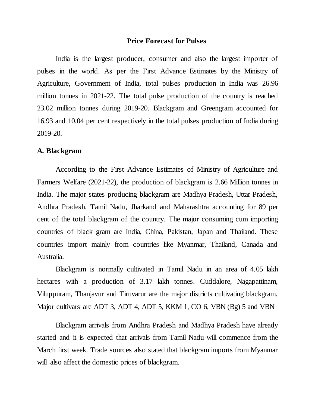### **Price Forecast for Pulses**

India is the largest producer, consumer and also the largest importer of pulses in the world. As per the First Advance Estimates by the Ministry of Agriculture, Government of India, total pulses production in India was 26.96 million tonnes in 2021-22. The total pulse production of the country is reached 23.02 million tonnes during 2019-20. Blackgram and Greengram accounted for 16.93 and 10.04 per cent respectively in the total pulses production of India during 2019-20.

#### **A. Blackgram**

According to the First Advance Estimates of Ministry of Agriculture and Farmers Welfare (2021-22), the production of blackgram is 2.66 Million tonnes in India. The major states producing blackgram are Madhya Pradesh, Uttar Pradesh, Andhra Pradesh, Tamil Nadu, Jharkand and Maharashtra accounting for 89 per cent of the total blackgram of the country. The major consuming cum importing countries of black gram are India, China, Pakistan, Japan and Thailand. These countries import mainly from countries like Myanmar, Thailand, Canada and Australia.

Blackgram is normally cultivated in Tamil Nadu in an area of 4.05 lakh hectares with a production of 3.17 lakh tonnes. Cuddalore, Nagapattinam, Viluppuram, Thanjavur and Tiruvarur are the major districts cultivating blackgram. Major cultivars are ADT 3, ADT 4, ADT 5, KKM 1, CO 6, VBN (Bg) 5 and VBN

Blackgram arrivals from Andhra Pradesh and Madhya Pradesh have already started and it is expected that arrivals from Tamil Nadu will commence from the March first week. Trade sources also stated that blackgram imports from Myanmar will also affect the domestic prices of blackgram.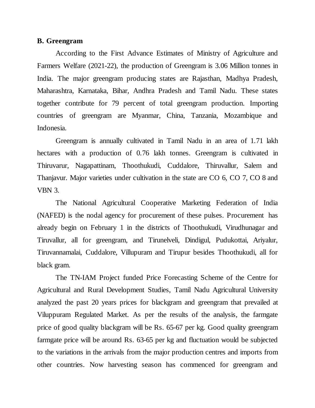#### **B. Greengram**

According to the First Advance Estimates of Ministry of Agriculture and Farmers Welfare (2021-22), the production of Greengram is 3.06 Million tonnes in India. The major greengram producing states are Rajasthan, Madhya Pradesh, Maharashtra, Karnataka, Bihar, Andhra Pradesh and Tamil Nadu. These states together contribute for 79 percent of total greengram production. Importing countries of greengram are Myanmar, China, Tanzania, Mozambique and Indonesia.

Greengram is annually cultivated in Tamil Nadu in an area of 1.71 lakh hectares with a production of 0.76 lakh tonnes. Greengram is cultivated in Thiruvarur, Nagapattinam, Thoothukudi, Cuddalore, Thiruvallur, Salem and Thanjavur. Major varieties under cultivation in the state are CO 6, CO 7, CO 8 and VBN 3.

The National Agricultural Cooperative Marketing Federation of India (NAFED) is the nodal agency for procurement of these pulses. Procurement has already begin on February 1 in the districts of Thoothukudi, Virudhunagar and Tiruvallur, all for greengram, and Tirunelveli, Dindigul, Pudukottai, Ariyalur, Tiruvannamalai, Cuddalore, Villupuram and Tirupur besides Thoothukudi, all for black gram.

The TN-IAM Project funded Price Forecasting Scheme of the Centre for Agricultural and Rural Development Studies, Tamil Nadu Agricultural University analyzed the past 20 years prices for blackgram and greengram that prevailed at Viluppuram Regulated Market. As per the results of the analysis, the farmgate price of good quality blackgram will be Rs. 65-67 per kg. Good quality greengram farmgate price will be around Rs. 63-65 per kg and fluctuation would be subjected to the variations in the arrivals from the major production centres and imports from other countries. Now harvesting season has commenced for greengram and